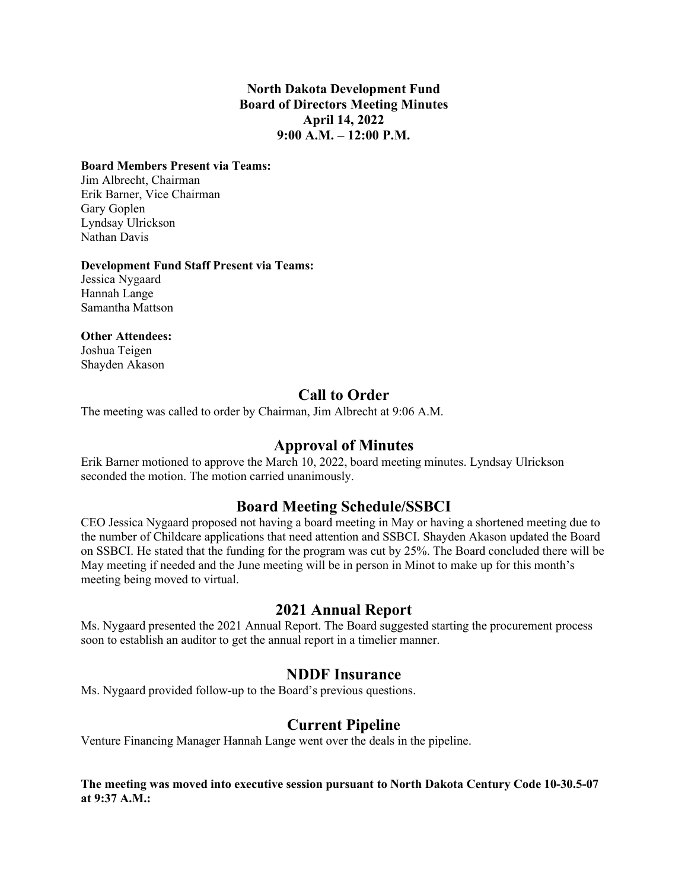### **North Dakota Development Fund Board of Directors Meeting Minutes April 14, 2022 9:00 A.M. – 12:00 P.M.**

#### **Board Members Present via Teams:**

Jim Albrecht, Chairman Erik Barner, Vice Chairman Gary Goplen Lyndsay Ulrickson Nathan Davis

#### **Development Fund Staff Present via Teams:**

Jessica Nygaard Hannah Lange Samantha Mattson

### **Other Attendees:**

Joshua Teigen Shayden Akason

# **Call to Order**

The meeting was called to order by Chairman, Jim Albrecht at 9:06 A.M.

### **Approval of Minutes**

Erik Barner motioned to approve the March 10, 2022, board meeting minutes. Lyndsay Ulrickson seconded the motion. The motion carried unanimously.

# **Board Meeting Schedule/SSBCI**

CEO Jessica Nygaard proposed not having a board meeting in May or having a shortened meeting due to the number of Childcare applications that need attention and SSBCI. Shayden Akason updated the Board on SSBCI. He stated that the funding for the program was cut by 25%. The Board concluded there will be May meeting if needed and the June meeting will be in person in Minot to make up for this month's meeting being moved to virtual.

### **2021 Annual Report**

Ms. Nygaard presented the 2021 Annual Report. The Board suggested starting the procurement process soon to establish an auditor to get the annual report in a timelier manner.

### **NDDF Insurance**

Ms. Nygaard provided follow-up to the Board's previous questions.

# **Current Pipeline**

Venture Financing Manager Hannah Lange went over the deals in the pipeline.

### **The meeting was moved into executive session pursuant to North Dakota Century Code 10-30.5-07 at 9:37 A.M.:**